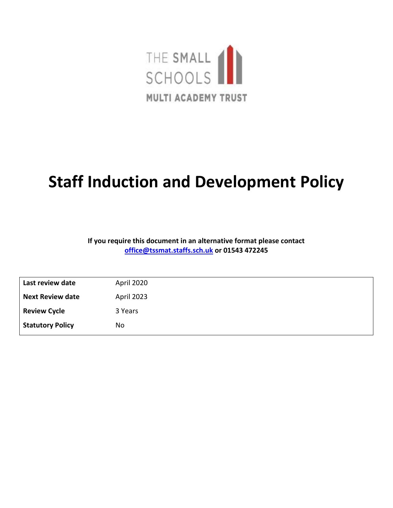

# **Staff Induction and Development Policy**

#### **If you require this document in an alternative format please contact [office@tssmat.staffs.sch.uk](mailto:office@tssmat.staffs.sch.uk) or 01543 472245**

| Last review date        | April 2020 |
|-------------------------|------------|
| <b>Next Review date</b> | April 2023 |
| <b>Review Cycle</b>     | 3 Years    |
| <b>Statutory Policy</b> | No         |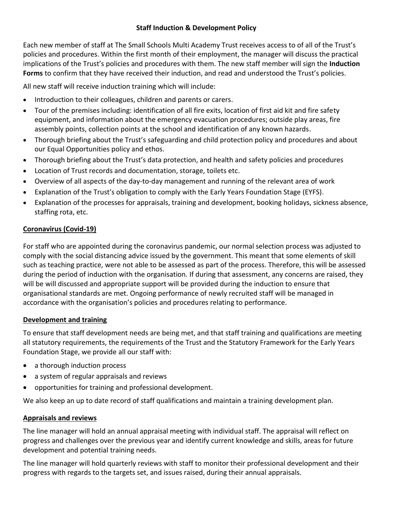## **Staff Induction & Development Policy**

Each new member of staff at The Small Schools Multi Academy Trust receives access to of all of the Trust's policies and procedures. Within the first month of their employment, the manager will discuss the practical implications of the Trust's policies and procedures with them. The new staff member will sign the **Induction Forms** to confirm that they have received their induction, and read and understood the Trust's policies.

All new staff will receive induction training which will include:

- Introduction to their colleagues, children and parents or carers.
- Tour of the premises including: identification of all fire exits, location of first aid kit and fire safety equipment, and information about the emergency evacuation procedures; outside play areas, fire assembly points, collection points at the school and identification of any known hazards.
- Thorough briefing about the Trust's safeguarding and child protection policy and procedures and about our Equal Opportunities policy and ethos.
- Thorough briefing about the Trust's data protection, and health and safety policies and procedures
- Location of Trust records and documentation, storage, toilets etc.
- Overview of all aspects of the day-to-day management and running of the relevant area of work
- Explanation of the Trust's obligation to comply with the Early Years Foundation Stage (EYFS).
- Explanation of the processes for appraisals, training and development, booking holidays, sickness absence, staffing rota, etc.

# **Coronavirus (Covid-19)**

For staff who are appointed during the coronavirus pandemic, our normal selection process was adjusted to comply with the social distancing advice issued by the government. This meant that some elements of skill such as teaching practice, were not able to be assessed as part of the process. Therefore, this will be assessed during the period of induction with the organisation. If during that assessment, any concerns are raised, they will be will discussed and appropriate support will be provided during the induction to ensure that organisational standards are met. Ongoing performance of newly recruited staff will be managed in accordance with the organisation's policies and procedures relating to performance.

#### **Development and training**

To ensure that staff development needs are being met, and that staff training and qualifications are meeting all statutory requirements, the requirements of the Trust and the Statutory Framework for the Early Years Foundation Stage, we provide all our staff with:

- a thorough induction process
- a system of regular appraisals and reviews
- opportunities for training and professional development.

We also keep an up to date record of staff qualifications and maintain a training development plan.

#### **Appraisals and reviews**

The line manager will hold an annual appraisal meeting with individual staff. The appraisal will reflect on progress and challenges over the previous year and identify current knowledge and skills, areas for future development and potential training needs.

The line manager will hold quarterly reviews with staff to monitor their professional development and their progress with regards to the targets set, and issues raised, during their annual appraisals.